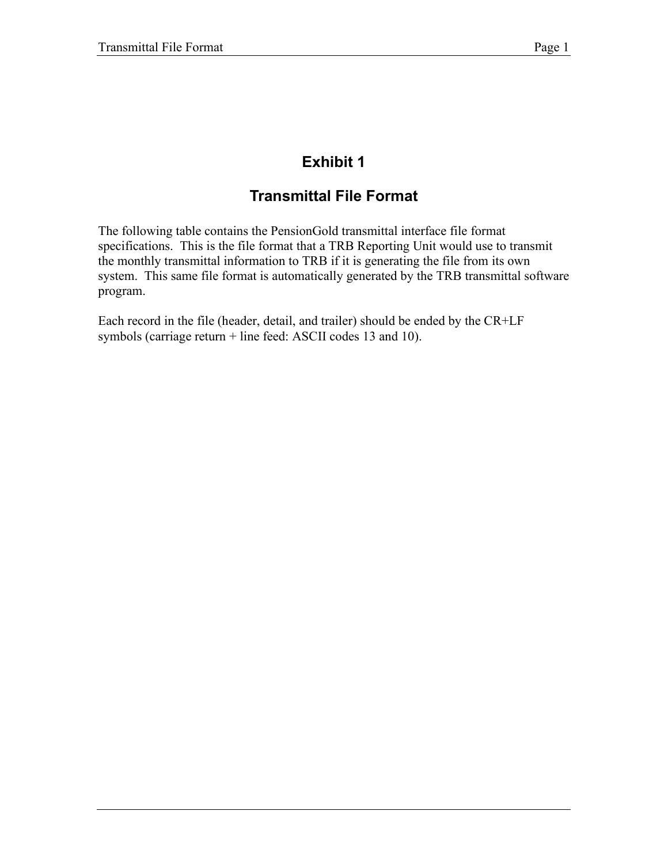# **Exhibit 1**

## **Transmittal File Format**

The following table contains the PensionGold transmittal interface file format specifications. This is the file format that a TRB Reporting Unit would use to transmit the monthly transmittal information to TRB if it is generating the file from its own system. This same file format is automatically generated by the TRB transmittal software program.

Each record in the file (header, detail, and trailer) should be ended by the CR+LF symbols (carriage return + line feed: ASCII codes 13 and 10).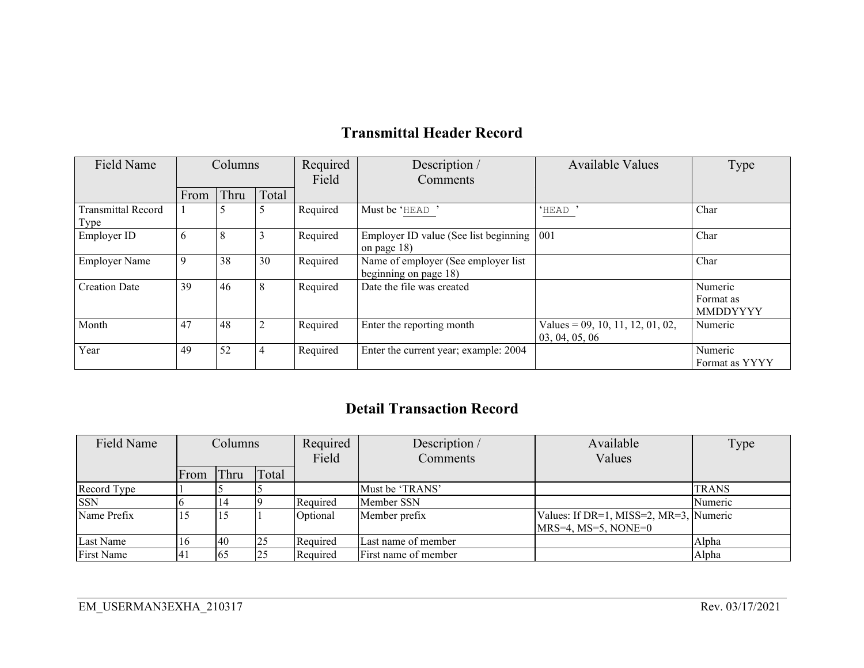#### **Transmittal Header Record**

| <b>Field Name</b>                 | Columns |      |       | Required | Description /                                                | <b>Available Values</b>                               | Type                             |
|-----------------------------------|---------|------|-------|----------|--------------------------------------------------------------|-------------------------------------------------------|----------------------------------|
|                                   |         |      |       | Field    | Comments                                                     |                                                       |                                  |
|                                   | From    | Thru | Total |          |                                                              |                                                       |                                  |
| <b>Transmittal Record</b><br>Type |         | 5    |       | Required | Must be 'HEAD'                                               | 'HEAD'                                                | Char                             |
| Employer ID                       | 6       | 8    |       | Required | Employer ID value (See list beginning<br>on page $18$ )      | 001                                                   | Char                             |
| <b>Employer Name</b>              | -9      | 38   | 30    | Required | Name of employer (See employer list<br>beginning on page 18) |                                                       | Char                             |
| <b>Creation Date</b>              | 39      | 46   | 8     | Required | Date the file was created                                    |                                                       | Numeric<br>Format as<br>MMDDYYYY |
| Month                             | 47      | 48   |       | Required | Enter the reporting month                                    | Values = $09$ , 10, 11, 12, 01, 02,<br>03, 04, 05, 06 | Numeric                          |
| Year                              | 49      | 52   |       | Required | Enter the current year; example: 2004                        |                                                       | Numeric<br>Format as YYYY        |

### **Detail Transaction Record**

| Field Name        | Columns |           |       | Required<br>Field | Description /<br>Comments | Available<br>Values                                                   | Type         |
|-------------------|---------|-----------|-------|-------------------|---------------------------|-----------------------------------------------------------------------|--------------|
|                   | From    | Thru      | Total |                   |                           |                                                                       |              |
| Record Type       |         |           |       |                   | Must be 'TRANS'           |                                                                       | <b>TRANS</b> |
| <b>SSN</b>        |         |           |       | Required          | Member SSN                |                                                                       | Numeric      |
| Name Prefix       |         |           |       | Optional          | Member prefix             | Values: If DR=1, MISS=2, MR=3, Numeric<br>$MRS=4$ , $MS=5$ , $NONE=0$ |              |
| Last Name         | 16      | <b>40</b> | 25    | Required          | Last name of member       |                                                                       | Alpha        |
| <b>First Name</b> | 41      | 65        |       | Required          | First name of member      |                                                                       | Alpha        |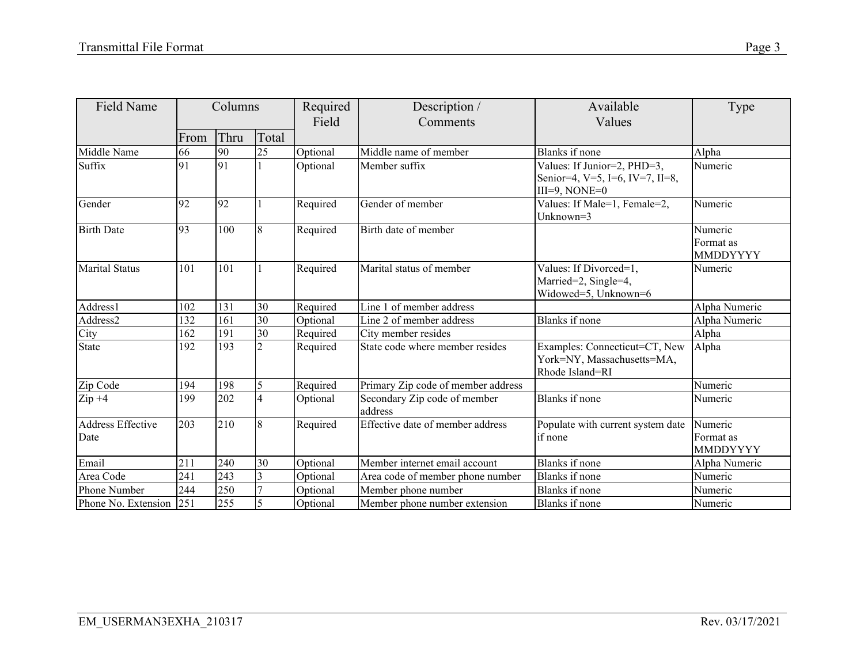| <b>Field Name</b>                | Columns |      |                 | Required<br>Field | Description /<br>Comments               | Available<br>Values                                                                | Type                             |
|----------------------------------|---------|------|-----------------|-------------------|-----------------------------------------|------------------------------------------------------------------------------------|----------------------------------|
|                                  | From    | Thru | Total           |                   |                                         |                                                                                    |                                  |
| Middle Name                      | 66      | 90   | 25              | Optional          | Middle name of member                   | Blanks if none                                                                     | Alpha                            |
| Suffix                           | 91      | 91   |                 | Optional          | Member suffix                           | Values: If Junior=2, PHD=3,<br>Senior=4, V=5, I=6, IV=7, II=8,<br>$III=9$ , NONE=0 | Numeric                          |
| Gender                           | 92      | 92   |                 | Required          | Gender of member                        | Values: If Male=1, Female=2,<br>Unknown=3                                          | Numeric                          |
| <b>Birth Date</b>                | 93      | 100  | 8               | Required          | Birth date of member                    |                                                                                    | Numeric<br>Format as<br>MMDDYYYY |
| <b>Marital Status</b>            | 101     | 101  |                 | Required          | Marital status of member                | Values: If Divorced=1,<br>Married=2, Single=4,<br>Widowed=5, Unknown=6             | Numeric                          |
| Address1                         | 102     | 131  | 30              | Required          | Line 1 of member address                |                                                                                    | Alpha Numeric                    |
| Address2                         | 132     | 161  | 30              | Optional          | Line 2 of member address                | Blanks if none                                                                     | Alpha Numeric                    |
| City                             | 162     | 191  | $\overline{30}$ | Required          | City member resides                     |                                                                                    | Alpha                            |
| <b>State</b>                     | 192     | 193  | $\overline{2}$  | Required          | State code where member resides         | Examples: Connecticut=CT, New<br>York=NY, Massachusetts=MA,<br>Rhode Island=RI     | Alpha                            |
| Zip Code                         | 194     | 198  | 5               | Required          | Primary Zip code of member address      |                                                                                    | Numeric                          |
| $Zip +4$                         | 199     | 202  | $\overline{4}$  | Optional          | Secondary Zip code of member<br>address | Blanks if none                                                                     | Numeric                          |
| <b>Address Effective</b><br>Date | 203     | 210  | 8               | Required          | Effective date of member address        | Populate with current system date<br>if none                                       | Numeric<br>Format as<br>MMDDYYYY |
| Email                            | 211     | 240  | 30              | Optional          | Member internet email account           | Blanks if none                                                                     | Alpha Numeric                    |
| Area Code                        | 241     | 243  | 3               | Optional          | Area code of member phone number        | Blanks if none                                                                     | Numeric                          |
| Phone Number                     | 244     | 250  |                 | Optional          | Member phone number                     | Blanks if none                                                                     | Numeric                          |
| Phone No. Extension              | 251     | 255  | 5               | Optional          | Member phone number extension           | Blanks if none                                                                     | Numeric                          |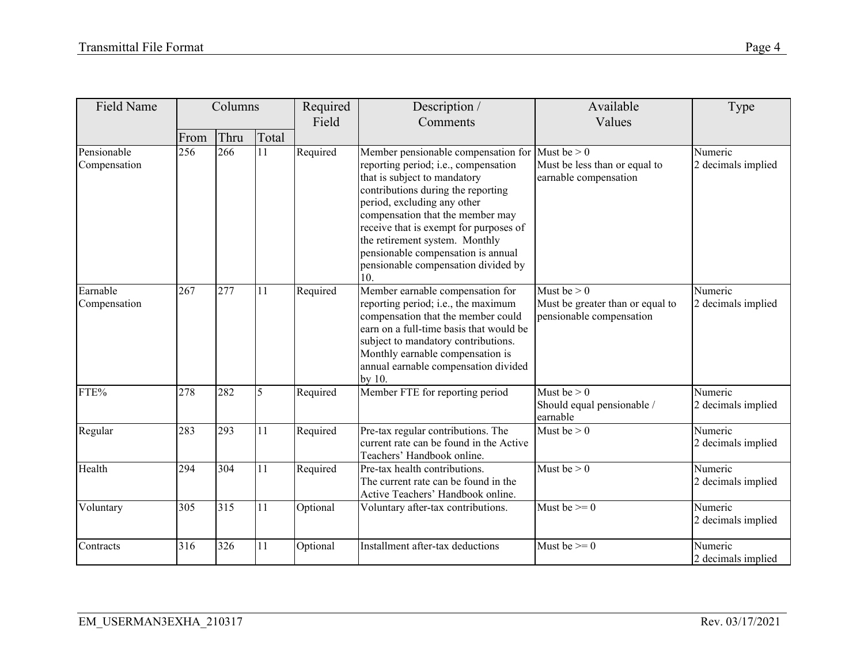| Field Name                  |      | Columns |       | Required<br>Field | Description /<br>Comments                                                                                                                                                                                                                                                                                                                                                                          | Available<br>Values                                                           | Type                          |
|-----------------------------|------|---------|-------|-------------------|----------------------------------------------------------------------------------------------------------------------------------------------------------------------------------------------------------------------------------------------------------------------------------------------------------------------------------------------------------------------------------------------------|-------------------------------------------------------------------------------|-------------------------------|
|                             | From | Thru    | Total |                   |                                                                                                                                                                                                                                                                                                                                                                                                    |                                                                               |                               |
| Pensionable<br>Compensation | 256  | 266     | 11    | Required          | Member pensionable compensation for Must be $> 0$<br>reporting period; i.e., compensation<br>that is subject to mandatory<br>contributions during the reporting<br>period, excluding any other<br>compensation that the member may<br>receive that is exempt for purposes of<br>the retirement system. Monthly<br>pensionable compensation is annual<br>pensionable compensation divided by<br>10. | Must be less than or equal to<br>earnable compensation                        | Numeric<br>2 decimals implied |
| Earnable<br>Compensation    | 267  | 277     | 11    | Required          | Member earnable compensation for<br>reporting period; i.e., the maximum<br>compensation that the member could<br>earn on a full-time basis that would be<br>subject to mandatory contributions.<br>Monthly earnable compensation is<br>annual earnable compensation divided<br>by 10.                                                                                                              | Must be $> 0$<br>Must be greater than or equal to<br>pensionable compensation | Numeric<br>2 decimals implied |
| FTE%                        | 278  | 282     | 5     | Required          | Member FTE for reporting period                                                                                                                                                                                                                                                                                                                                                                    | Must be $> 0$<br>Should equal pensionable /<br>earnable                       | Numeric<br>2 decimals implied |
| Regular                     | 283  | 293     | 11    | Required          | Pre-tax regular contributions. The<br>current rate can be found in the Active<br>Teachers' Handbook online.                                                                                                                                                                                                                                                                                        | Must be $> 0$                                                                 | Numeric<br>2 decimals implied |
| Health                      | 294  | 304     | 11    | Required          | Pre-tax health contributions.<br>The current rate can be found in the<br>Active Teachers' Handbook online.                                                                                                                                                                                                                                                                                         | Must be $> 0$                                                                 | Numeric<br>2 decimals implied |
| Voluntary                   | 305  | 315     | 11    | Optional          | Voluntary after-tax contributions.                                                                                                                                                                                                                                                                                                                                                                 | Must be $>= 0$                                                                | Numeric<br>2 decimals implied |
| Contracts                   | 316  | 326     | 11    | Optional          | Installment after-tax deductions                                                                                                                                                                                                                                                                                                                                                                   | Must be $\geq 0$                                                              | Numeric<br>2 decimals implied |